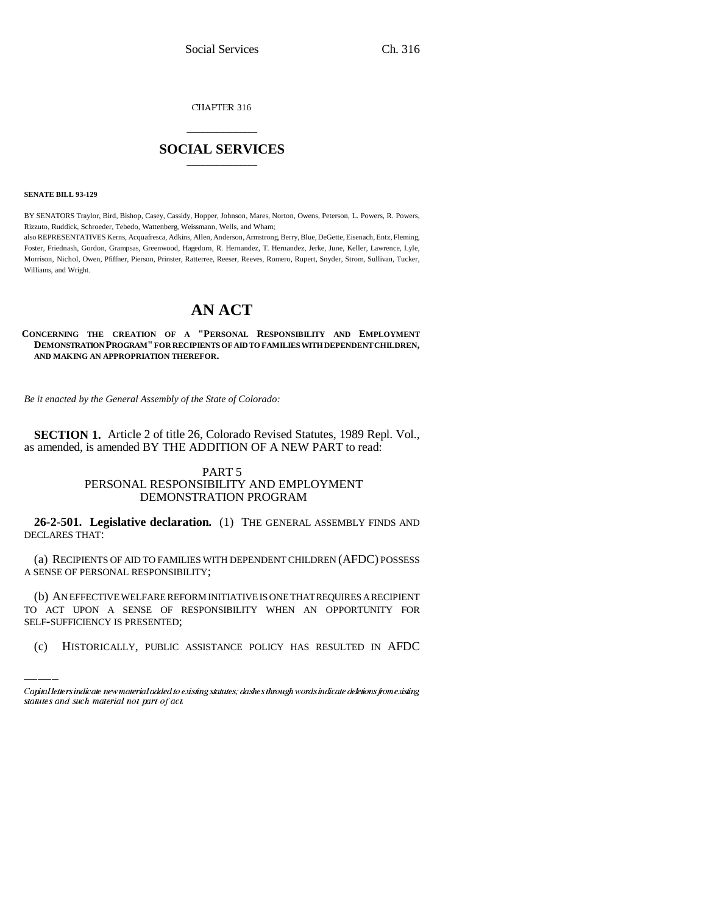CHAPTER 316

## \_\_\_\_\_\_\_\_\_\_\_\_\_\_\_ **SOCIAL SERVICES** \_\_\_\_\_\_\_\_\_\_\_\_\_\_\_

**SENATE BILL 93-129**

BY SENATORS Traylor, Bird, Bishop, Casey, Cassidy, Hopper, Johnson, Mares, Norton, Owens, Peterson, L. Powers, R. Powers, Rizzuto, Ruddick, Schroeder, Tebedo, Wattenberg, Weissmann, Wells, and Wham;

also REPRESENTATIVES Kerns, Acquafresca, Adkins, Allen, Anderson, Armstrong, Berry, Blue, DeGette, Eisenach, Entz, Fleming, Foster, Friednash, Gordon, Grampsas, Greenwood, Hagedorn, R. Hernandez, T. Hernandez, Jerke, June, Keller, Lawrence, Lyle, Morrison, Nichol, Owen, Pfiffner, Pierson, Prinster, Ratterree, Reeser, Reeves, Romero, Rupert, Snyder, Strom, Sullivan, Tucker, Williams, and Wright.

# **AN ACT**

#### **CONCERNING THE CREATION OF A "PERSONAL RESPONSIBILITY AND EMPLOYMENT DEMONSTRATION PROGRAM" FOR RECIPIENTS OF AID TO FAMILIES WITH DEPENDENT CHILDREN, AND MAKING AN APPROPRIATION THEREFOR.**

*Be it enacted by the General Assembly of the State of Colorado:*

**SECTION 1.** Article 2 of title 26, Colorado Revised Statutes, 1989 Repl. Vol., as amended, is amended BY THE ADDITION OF A NEW PART to read:

### PART 5 PERSONAL RESPONSIBILITY AND EMPLOYMENT DEMONSTRATION PROGRAM

**26-2-501. Legislative declaration.** (1) THE GENERAL ASSEMBLY FINDS AND DECLARES THAT:

(a) RECIPIENTS OF AID TO FAMILIES WITH DEPENDENT CHILDREN (AFDC) POSSESS A SENSE OF PERSONAL RESPONSIBILITY;

(b) AN EFFECTIVE WELFARE REFORM INITIATIVE IS ONE THAT REQUIRES A RECIPIENT TO ACT UPON A SENSE OF RESPONSIBILITY WHEN AN OPPORTUNITY FOR SELF-SUFFICIENCY IS PRESENTED;

(c) HISTORICALLY, PUBLIC ASSISTANCE POLICY HAS RESULTED IN AFDC

Capital letters indicate new material added to existing statutes; dashes through words indicate deletions from existing statutes and such material not part of act.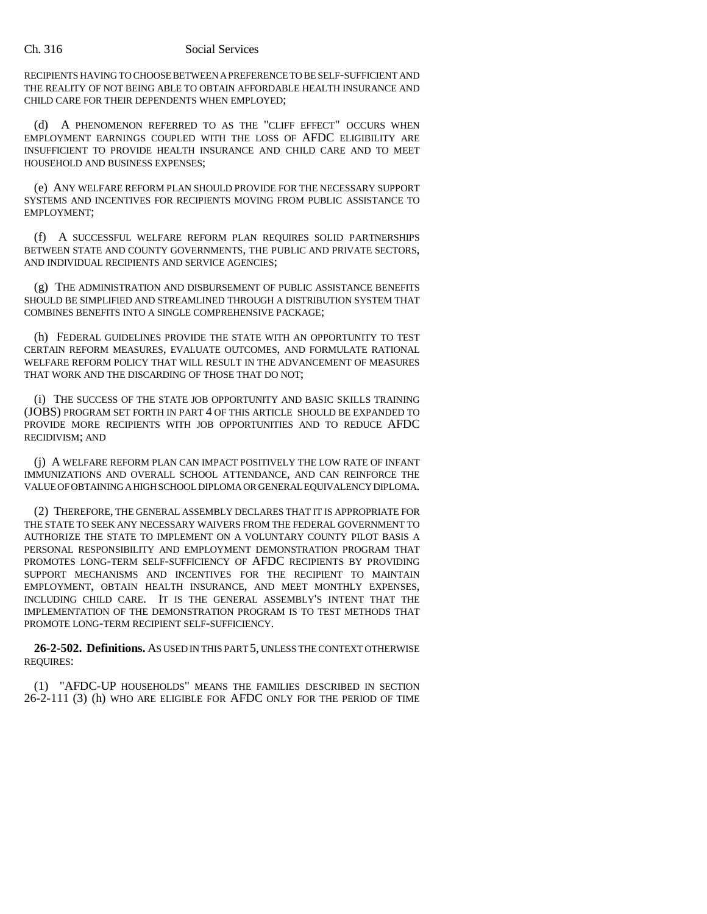#### Ch. 316 Social Services

RECIPIENTS HAVING TO CHOOSE BETWEEN A PREFERENCE TO BE SELF-SUFFICIENT AND THE REALITY OF NOT BEING ABLE TO OBTAIN AFFORDABLE HEALTH INSURANCE AND CHILD CARE FOR THEIR DEPENDENTS WHEN EMPLOYED;

(d) A PHENOMENON REFERRED TO AS THE "CLIFF EFFECT" OCCURS WHEN EMPLOYMENT EARNINGS COUPLED WITH THE LOSS OF AFDC ELIGIBILITY ARE INSUFFICIENT TO PROVIDE HEALTH INSURANCE AND CHILD CARE AND TO MEET HOUSEHOLD AND BUSINESS EXPENSES;

(e) ANY WELFARE REFORM PLAN SHOULD PROVIDE FOR THE NECESSARY SUPPORT SYSTEMS AND INCENTIVES FOR RECIPIENTS MOVING FROM PUBLIC ASSISTANCE TO EMPLOYMENT;

(f) A SUCCESSFUL WELFARE REFORM PLAN REQUIRES SOLID PARTNERSHIPS BETWEEN STATE AND COUNTY GOVERNMENTS, THE PUBLIC AND PRIVATE SECTORS, AND INDIVIDUAL RECIPIENTS AND SERVICE AGENCIES;

(g) THE ADMINISTRATION AND DISBURSEMENT OF PUBLIC ASSISTANCE BENEFITS SHOULD BE SIMPLIFIED AND STREAMLINED THROUGH A DISTRIBUTION SYSTEM THAT COMBINES BENEFITS INTO A SINGLE COMPREHENSIVE PACKAGE;

(h) FEDERAL GUIDELINES PROVIDE THE STATE WITH AN OPPORTUNITY TO TEST CERTAIN REFORM MEASURES, EVALUATE OUTCOMES, AND FORMULATE RATIONAL WELFARE REFORM POLICY THAT WILL RESULT IN THE ADVANCEMENT OF MEASURES THAT WORK AND THE DISCARDING OF THOSE THAT DO NOT;

(i) THE SUCCESS OF THE STATE JOB OPPORTUNITY AND BASIC SKILLS TRAINING (JOBS) PROGRAM SET FORTH IN PART 4 OF THIS ARTICLE SHOULD BE EXPANDED TO PROVIDE MORE RECIPIENTS WITH JOB OPPORTUNITIES AND TO REDUCE AFDC RECIDIVISM; AND

(j) A WELFARE REFORM PLAN CAN IMPACT POSITIVELY THE LOW RATE OF INFANT IMMUNIZATIONS AND OVERALL SCHOOL ATTENDANCE, AND CAN REINFORCE THE VALUE OF OBTAINING A HIGH SCHOOL DIPLOMA OR GENERAL EQUIVALENCY DIPLOMA.

(2) THEREFORE, THE GENERAL ASSEMBLY DECLARES THAT IT IS APPROPRIATE FOR THE STATE TO SEEK ANY NECESSARY WAIVERS FROM THE FEDERAL GOVERNMENT TO AUTHORIZE THE STATE TO IMPLEMENT ON A VOLUNTARY COUNTY PILOT BASIS A PERSONAL RESPONSIBILITY AND EMPLOYMENT DEMONSTRATION PROGRAM THAT PROMOTES LONG-TERM SELF-SUFFICIENCY OF AFDC RECIPIENTS BY PROVIDING SUPPORT MECHANISMS AND INCENTIVES FOR THE RECIPIENT TO MAINTAIN EMPLOYMENT, OBTAIN HEALTH INSURANCE, AND MEET MONTHLY EXPENSES, INCLUDING CHILD CARE. IT IS THE GENERAL ASSEMBLY'S INTENT THAT THE IMPLEMENTATION OF THE DEMONSTRATION PROGRAM IS TO TEST METHODS THAT PROMOTE LONG-TERM RECIPIENT SELF-SUFFICIENCY.

**26-2-502. Definitions.** AS USED IN THIS PART 5, UNLESS THE CONTEXT OTHERWISE REQUIRES:

(1) "AFDC-UP HOUSEHOLDS" MEANS THE FAMILIES DESCRIBED IN SECTION 26-2-111 (3) (h) WHO ARE ELIGIBLE FOR AFDC ONLY FOR THE PERIOD OF TIME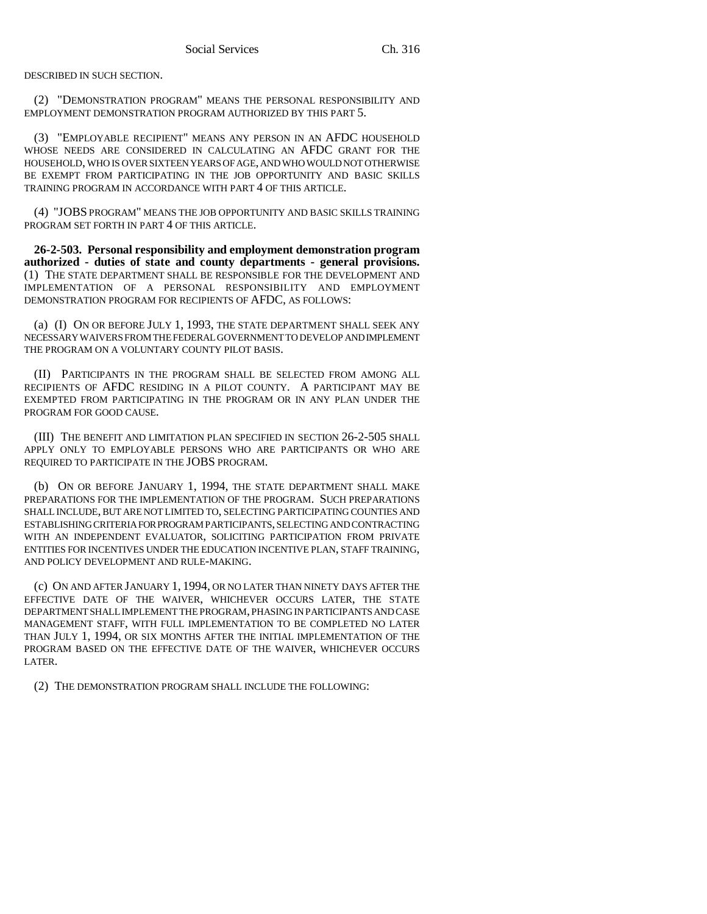DESCRIBED IN SUCH SECTION.

(2) "DEMONSTRATION PROGRAM" MEANS THE PERSONAL RESPONSIBILITY AND EMPLOYMENT DEMONSTRATION PROGRAM AUTHORIZED BY THIS PART 5.

(3) "EMPLOYABLE RECIPIENT" MEANS ANY PERSON IN AN AFDC HOUSEHOLD WHOSE NEEDS ARE CONSIDERED IN CALCULATING AN AFDC GRANT FOR THE HOUSEHOLD, WHO IS OVER SIXTEEN YEARS OF AGE, AND WHO WOULD NOT OTHERWISE BE EXEMPT FROM PARTICIPATING IN THE JOB OPPORTUNITY AND BASIC SKILLS TRAINING PROGRAM IN ACCORDANCE WITH PART 4 OF THIS ARTICLE.

(4) "JOBS PROGRAM" MEANS THE JOB OPPORTUNITY AND BASIC SKILLS TRAINING PROGRAM SET FORTH IN PART 4 OF THIS ARTICLE.

**26-2-503. Personal responsibility and employment demonstration program authorized - duties of state and county departments - general provisions.** (1) THE STATE DEPARTMENT SHALL BE RESPONSIBLE FOR THE DEVELOPMENT AND IMPLEMENTATION OF A PERSONAL RESPONSIBILITY AND EMPLOYMENT DEMONSTRATION PROGRAM FOR RECIPIENTS OF AFDC, AS FOLLOWS:

(a) (I) ON OR BEFORE JULY 1, 1993, THE STATE DEPARTMENT SHALL SEEK ANY NECESSARY WAIVERS FROM THE FEDERAL GOVERNMENT TO DEVELOP AND IMPLEMENT THE PROGRAM ON A VOLUNTARY COUNTY PILOT BASIS.

(II) PARTICIPANTS IN THE PROGRAM SHALL BE SELECTED FROM AMONG ALL RECIPIENTS OF AFDC RESIDING IN A PILOT COUNTY. A PARTICIPANT MAY BE EXEMPTED FROM PARTICIPATING IN THE PROGRAM OR IN ANY PLAN UNDER THE PROGRAM FOR GOOD CAUSE.

(III) THE BENEFIT AND LIMITATION PLAN SPECIFIED IN SECTION 26-2-505 SHALL APPLY ONLY TO EMPLOYABLE PERSONS WHO ARE PARTICIPANTS OR WHO ARE REQUIRED TO PARTICIPATE IN THE JOBS PROGRAM.

(b) ON OR BEFORE JANUARY 1, 1994, THE STATE DEPARTMENT SHALL MAKE PREPARATIONS FOR THE IMPLEMENTATION OF THE PROGRAM. SUCH PREPARATIONS SHALL INCLUDE, BUT ARE NOT LIMITED TO, SELECTING PARTICIPATING COUNTIES AND ESTABLISHING CRITERIA FOR PROGRAM PARTICIPANTS, SELECTING AND CONTRACTING WITH AN INDEPENDENT EVALUATOR, SOLICITING PARTICIPATION FROM PRIVATE ENTITIES FOR INCENTIVES UNDER THE EDUCATION INCENTIVE PLAN, STAFF TRAINING, AND POLICY DEVELOPMENT AND RULE-MAKING.

(c) ON AND AFTER JANUARY 1, 1994, OR NO LATER THAN NINETY DAYS AFTER THE EFFECTIVE DATE OF THE WAIVER, WHICHEVER OCCURS LATER, THE STATE DEPARTMENT SHALL IMPLEMENT THE PROGRAM, PHASING IN PARTICIPANTS AND CASE MANAGEMENT STAFF, WITH FULL IMPLEMENTATION TO BE COMPLETED NO LATER THAN JULY 1, 1994, OR SIX MONTHS AFTER THE INITIAL IMPLEMENTATION OF THE PROGRAM BASED ON THE EFFECTIVE DATE OF THE WAIVER, WHICHEVER OCCURS LATER.

(2) THE DEMONSTRATION PROGRAM SHALL INCLUDE THE FOLLOWING: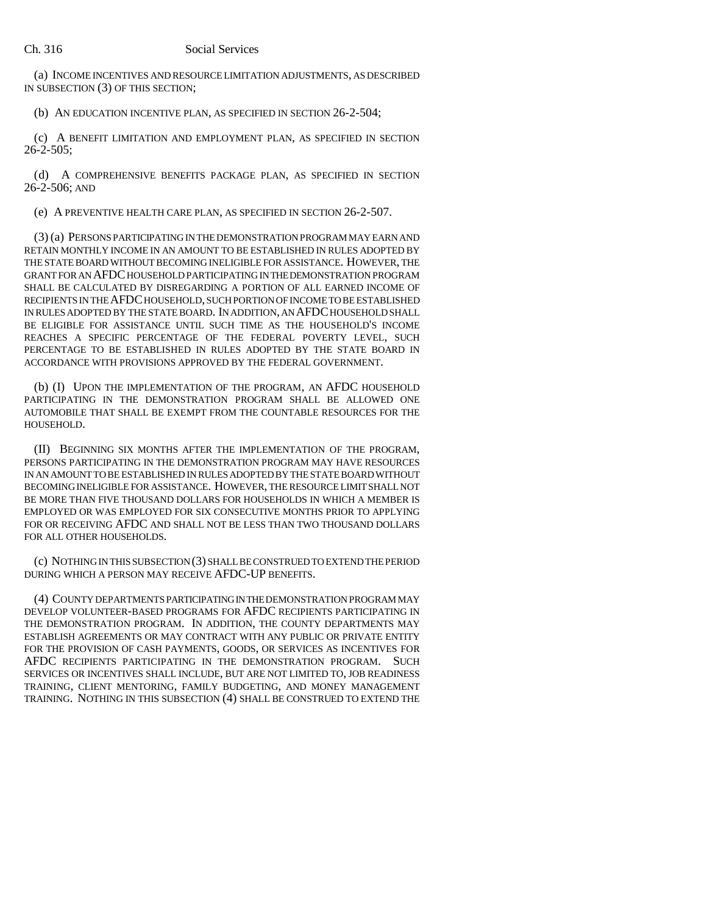(a) INCOME INCENTIVES AND RESOURCE LIMITATION ADJUSTMENTS, AS DESCRIBED IN SUBSECTION (3) OF THIS SECTION;

(b) AN EDUCATION INCENTIVE PLAN, AS SPECIFIED IN SECTION 26-2-504;

(c) A BENEFIT LIMITATION AND EMPLOYMENT PLAN, AS SPECIFIED IN SECTION 26-2-505;

(d) A COMPREHENSIVE BENEFITS PACKAGE PLAN, AS SPECIFIED IN SECTION 26-2-506; AND

(e) A PREVENTIVE HEALTH CARE PLAN, AS SPECIFIED IN SECTION 26-2-507.

(3) (a) PERSONS PARTICIPATING IN THE DEMONSTRATION PROGRAM MAY EARN AND RETAIN MONTHLY INCOME IN AN AMOUNT TO BE ESTABLISHED IN RULES ADOPTED BY THE STATE BOARD WITHOUT BECOMING INELIGIBLE FOR ASSISTANCE. HOWEVER, THE GRANT FOR AN AFDC HOUSEHOLD PARTICIPATING IN THE DEMONSTRATION PROGRAM SHALL BE CALCULATED BY DISREGARDING A PORTION OF ALL EARNED INCOME OF RECIPIENTS IN THE AFDC HOUSEHOLD, SUCH PORTION OF INCOME TO BE ESTABLISHED IN RULES ADOPTED BY THE STATE BOARD. IN ADDITION, AN AFDC HOUSEHOLD SHALL BE ELIGIBLE FOR ASSISTANCE UNTIL SUCH TIME AS THE HOUSEHOLD'S INCOME REACHES A SPECIFIC PERCENTAGE OF THE FEDERAL POVERTY LEVEL, SUCH PERCENTAGE TO BE ESTABLISHED IN RULES ADOPTED BY THE STATE BOARD IN ACCORDANCE WITH PROVISIONS APPROVED BY THE FEDERAL GOVERNMENT.

(b) (I) UPON THE IMPLEMENTATION OF THE PROGRAM, AN AFDC HOUSEHOLD PARTICIPATING IN THE DEMONSTRATION PROGRAM SHALL BE ALLOWED ONE AUTOMOBILE THAT SHALL BE EXEMPT FROM THE COUNTABLE RESOURCES FOR THE HOUSEHOLD.

(II) BEGINNING SIX MONTHS AFTER THE IMPLEMENTATION OF THE PROGRAM, PERSONS PARTICIPATING IN THE DEMONSTRATION PROGRAM MAY HAVE RESOURCES IN AN AMOUNT TO BE ESTABLISHED IN RULES ADOPTED BY THE STATE BOARD WITHOUT BECOMING INELIGIBLE FOR ASSISTANCE. HOWEVER, THE RESOURCE LIMIT SHALL NOT BE MORE THAN FIVE THOUSAND DOLLARS FOR HOUSEHOLDS IN WHICH A MEMBER IS EMPLOYED OR WAS EMPLOYED FOR SIX CONSECUTIVE MONTHS PRIOR TO APPLYING FOR OR RECEIVING AFDC AND SHALL NOT BE LESS THAN TWO THOUSAND DOLLARS FOR ALL OTHER HOUSEHOLDS.

(c) NOTHING IN THIS SUBSECTION (3) SHALL BE CONSTRUED TO EXTEND THE PERIOD DURING WHICH A PERSON MAY RECEIVE AFDC-UP BENEFITS.

(4) COUNTY DEPARTMENTS PARTICIPATING IN THE DEMONSTRATION PROGRAM MAY DEVELOP VOLUNTEER-BASED PROGRAMS FOR AFDC RECIPIENTS PARTICIPATING IN THE DEMONSTRATION PROGRAM. IN ADDITION, THE COUNTY DEPARTMENTS MAY ESTABLISH AGREEMENTS OR MAY CONTRACT WITH ANY PUBLIC OR PRIVATE ENTITY FOR THE PROVISION OF CASH PAYMENTS, GOODS, OR SERVICES AS INCENTIVES FOR AFDC RECIPIENTS PARTICIPATING IN THE DEMONSTRATION PROGRAM. SUCH SERVICES OR INCENTIVES SHALL INCLUDE, BUT ARE NOT LIMITED TO, JOB READINESS TRAINING, CLIENT MENTORING, FAMILY BUDGETING, AND MONEY MANAGEMENT TRAINING. NOTHING IN THIS SUBSECTION (4) SHALL BE CONSTRUED TO EXTEND THE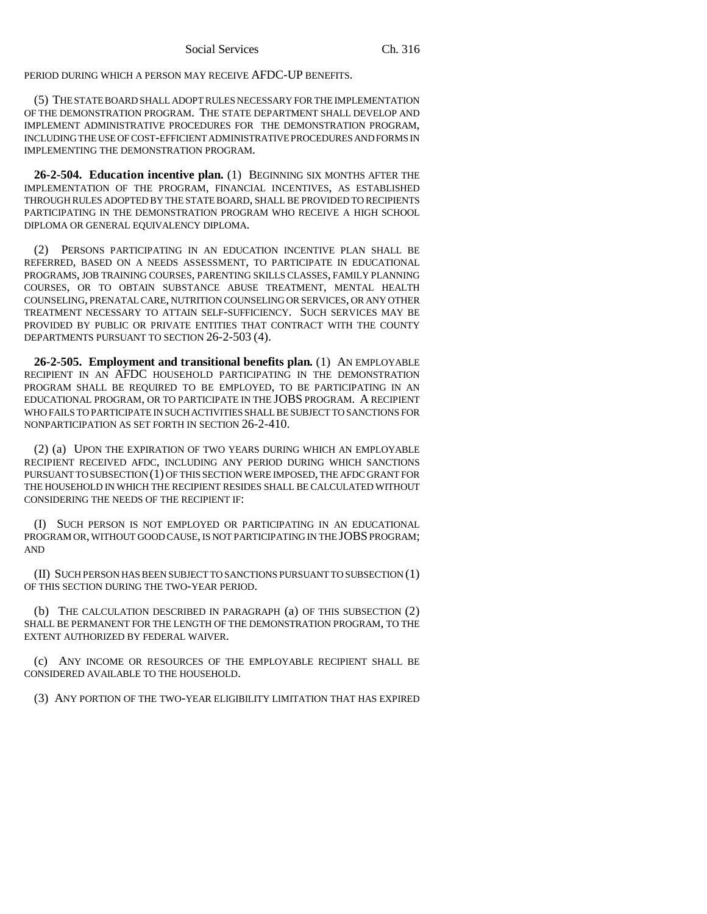PERIOD DURING WHICH A PERSON MAY RECEIVE AFDC-UP BENEFITS.

(5) THE STATE BOARD SHALL ADOPT RULES NECESSARY FOR THE IMPLEMENTATION OF THE DEMONSTRATION PROGRAM. THE STATE DEPARTMENT SHALL DEVELOP AND IMPLEMENT ADMINISTRATIVE PROCEDURES FOR THE DEMONSTRATION PROGRAM, INCLUDING THE USE OF COST-EFFICIENT ADMINISTRATIVE PROCEDURES AND FORMS IN IMPLEMENTING THE DEMONSTRATION PROGRAM.

**26-2-504. Education incentive plan.** (1) BEGINNING SIX MONTHS AFTER THE IMPLEMENTATION OF THE PROGRAM, FINANCIAL INCENTIVES, AS ESTABLISHED THROUGH RULES ADOPTED BY THE STATE BOARD, SHALL BE PROVIDED TO RECIPIENTS PARTICIPATING IN THE DEMONSTRATION PROGRAM WHO RECEIVE A HIGH SCHOOL DIPLOMA OR GENERAL EQUIVALENCY DIPLOMA.

(2) PERSONS PARTICIPATING IN AN EDUCATION INCENTIVE PLAN SHALL BE REFERRED, BASED ON A NEEDS ASSESSMENT, TO PARTICIPATE IN EDUCATIONAL PROGRAMS, JOB TRAINING COURSES, PARENTING SKILLS CLASSES, FAMILY PLANNING COURSES, OR TO OBTAIN SUBSTANCE ABUSE TREATMENT, MENTAL HEALTH COUNSELING, PRENATAL CARE, NUTRITION COUNSELING OR SERVICES, OR ANY OTHER TREATMENT NECESSARY TO ATTAIN SELF-SUFFICIENCY. SUCH SERVICES MAY BE PROVIDED BY PUBLIC OR PRIVATE ENTITIES THAT CONTRACT WITH THE COUNTY DEPARTMENTS PURSUANT TO SECTION 26-2-503 (4).

**26-2-505. Employment and transitional benefits plan.** (1) AN EMPLOYABLE RECIPIENT IN AN AFDC HOUSEHOLD PARTICIPATING IN THE DEMONSTRATION PROGRAM SHALL BE REQUIRED TO BE EMPLOYED, TO BE PARTICIPATING IN AN EDUCATIONAL PROGRAM, OR TO PARTICIPATE IN THE JOBS PROGRAM. A RECIPIENT WHO FAILS TO PARTICIPATE IN SUCH ACTIVITIES SHALL BE SUBJECT TO SANCTIONS FOR NONPARTICIPATION AS SET FORTH IN SECTION 26-2-410.

(2) (a) UPON THE EXPIRATION OF TWO YEARS DURING WHICH AN EMPLOYABLE RECIPIENT RECEIVED AFDC, INCLUDING ANY PERIOD DURING WHICH SANCTIONS PURSUANT TO SUBSECTION (1) OF THIS SECTION WERE IMPOSED, THE AFDC GRANT FOR THE HOUSEHOLD IN WHICH THE RECIPIENT RESIDES SHALL BE CALCULATED WITHOUT CONSIDERING THE NEEDS OF THE RECIPIENT IF:

(I) SUCH PERSON IS NOT EMPLOYED OR PARTICIPATING IN AN EDUCATIONAL PROGRAM OR, WITHOUT GOOD CAUSE, IS NOT PARTICIPATING IN THE JOBS PROGRAM; AND

(II) SUCH PERSON HAS BEEN SUBJECT TO SANCTIONS PURSUANT TO SUBSECTION (1) OF THIS SECTION DURING THE TWO-YEAR PERIOD.

(b) THE CALCULATION DESCRIBED IN PARAGRAPH (a) OF THIS SUBSECTION (2) SHALL BE PERMANENT FOR THE LENGTH OF THE DEMONSTRATION PROGRAM, TO THE EXTENT AUTHORIZED BY FEDERAL WAIVER.

(c) ANY INCOME OR RESOURCES OF THE EMPLOYABLE RECIPIENT SHALL BE CONSIDERED AVAILABLE TO THE HOUSEHOLD.

(3) ANY PORTION OF THE TWO-YEAR ELIGIBILITY LIMITATION THAT HAS EXPIRED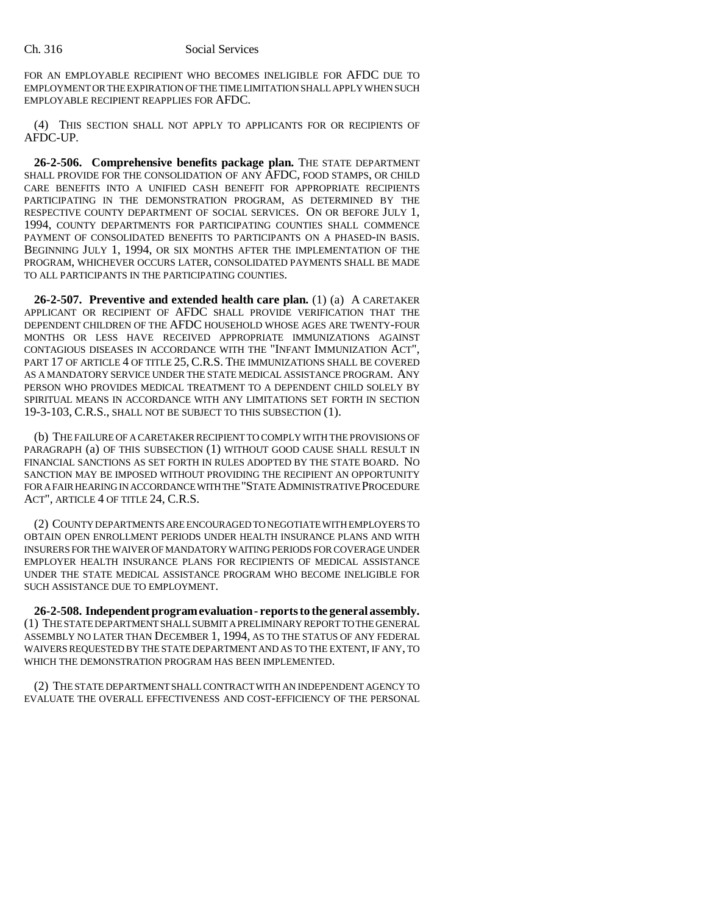FOR AN EMPLOYABLE RECIPIENT WHO BECOMES INELIGIBLE FOR AFDC DUE TO EMPLOYMENT OR THE EXPIRATION OF THE TIME LIMITATION SHALL APPLY WHEN SUCH EMPLOYABLE RECIPIENT REAPPLIES FOR AFDC.

(4) THIS SECTION SHALL NOT APPLY TO APPLICANTS FOR OR RECIPIENTS OF AFDC-UP.

**26-2-506. Comprehensive benefits package plan.** THE STATE DEPARTMENT SHALL PROVIDE FOR THE CONSOLIDATION OF ANY AFDC, FOOD STAMPS, OR CHILD CARE BENEFITS INTO A UNIFIED CASH BENEFIT FOR APPROPRIATE RECIPIENTS PARTICIPATING IN THE DEMONSTRATION PROGRAM, AS DETERMINED BY THE RESPECTIVE COUNTY DEPARTMENT OF SOCIAL SERVICES. ON OR BEFORE JULY 1, 1994, COUNTY DEPARTMENTS FOR PARTICIPATING COUNTIES SHALL COMMENCE PAYMENT OF CONSOLIDATED BENEFITS TO PARTICIPANTS ON A PHASED-IN BASIS. BEGINNING JULY 1, 1994, OR SIX MONTHS AFTER THE IMPLEMENTATION OF THE PROGRAM, WHICHEVER OCCURS LATER, CONSOLIDATED PAYMENTS SHALL BE MADE TO ALL PARTICIPANTS IN THE PARTICIPATING COUNTIES.

**26-2-507. Preventive and extended health care plan.** (1) (a) A CARETAKER APPLICANT OR RECIPIENT OF AFDC SHALL PROVIDE VERIFICATION THAT THE DEPENDENT CHILDREN OF THE AFDC HOUSEHOLD WHOSE AGES ARE TWENTY-FOUR MONTHS OR LESS HAVE RECEIVED APPROPRIATE IMMUNIZATIONS AGAINST CONTAGIOUS DISEASES IN ACCORDANCE WITH THE "INFANT IMMUNIZATION ACT", PART 17 OF ARTICLE 4 OF TITLE 25, C.R.S. THE IMMUNIZATIONS SHALL BE COVERED AS A MANDATORY SERVICE UNDER THE STATE MEDICAL ASSISTANCE PROGRAM. ANY PERSON WHO PROVIDES MEDICAL TREATMENT TO A DEPENDENT CHILD SOLELY BY SPIRITUAL MEANS IN ACCORDANCE WITH ANY LIMITATIONS SET FORTH IN SECTION 19-3-103, C.R.S., SHALL NOT BE SUBJECT TO THIS SUBSECTION (1).

(b) THE FAILURE OF A CARETAKER RECIPIENT TO COMPLY WITH THE PROVISIONS OF PARAGRAPH (a) OF THIS SUBSECTION (1) WITHOUT GOOD CAUSE SHALL RESULT IN FINANCIAL SANCTIONS AS SET FORTH IN RULES ADOPTED BY THE STATE BOARD. NO SANCTION MAY BE IMPOSED WITHOUT PROVIDING THE RECIPIENT AN OPPORTUNITY FOR A FAIR HEARING IN ACCORDANCE WITH THE "STATE ADMINISTRATIVE PROCEDURE ACT", ARTICLE 4 OF TITLE 24, C.R.S.

(2) COUNTY DEPARTMENTS ARE ENCOURAGED TO NEGOTIATE WITH EMPLOYERS TO OBTAIN OPEN ENROLLMENT PERIODS UNDER HEALTH INSURANCE PLANS AND WITH INSURERS FOR THE WAIVER OF MANDATORY WAITING PERIODS FOR COVERAGE UNDER EMPLOYER HEALTH INSURANCE PLANS FOR RECIPIENTS OF MEDICAL ASSISTANCE UNDER THE STATE MEDICAL ASSISTANCE PROGRAM WHO BECOME INELIGIBLE FOR SUCH ASSISTANCE DUE TO EMPLOYMENT.

**26-2-508. Independent program evaluation - reports to the general assembly.** (1) THE STATE DEPARTMENT SHALL SUBMIT A PRELIMINARY REPORT TO THE GENERAL ASSEMBLY NO LATER THAN DECEMBER 1, 1994, AS TO THE STATUS OF ANY FEDERAL WAIVERS REQUESTED BY THE STATE DEPARTMENT AND AS TO THE EXTENT, IF ANY, TO WHICH THE DEMONSTRATION PROGRAM HAS BEEN IMPLEMENTED.

(2) THE STATE DEPARTMENT SHALL CONTRACT WITH AN INDEPENDENT AGENCY TO EVALUATE THE OVERALL EFFECTIVENESS AND COST-EFFICIENCY OF THE PERSONAL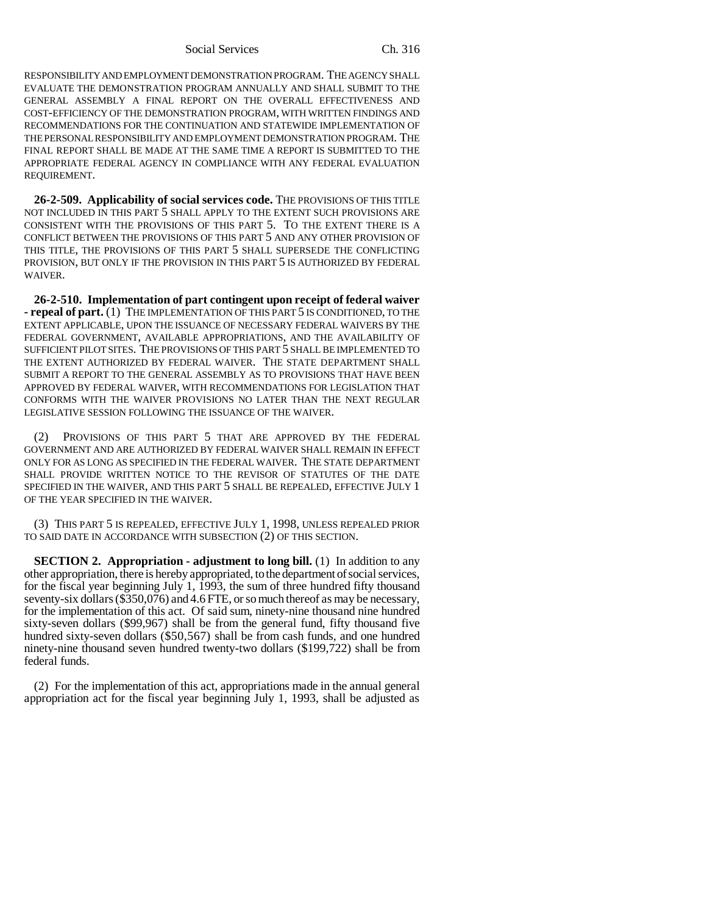Social Services Ch. 316

RESPONSIBILITY AND EMPLOYMENT DEMONSTRATION PROGRAM. THE AGENCY SHALL EVALUATE THE DEMONSTRATION PROGRAM ANNUALLY AND SHALL SUBMIT TO THE GENERAL ASSEMBLY A FINAL REPORT ON THE OVERALL EFFECTIVENESS AND COST-EFFICIENCY OF THE DEMONSTRATION PROGRAM, WITH WRITTEN FINDINGS AND RECOMMENDATIONS FOR THE CONTINUATION AND STATEWIDE IMPLEMENTATION OF THE PERSONAL RESPONSIBILITY AND EMPLOYMENT DEMONSTRATION PROGRAM. THE FINAL REPORT SHALL BE MADE AT THE SAME TIME A REPORT IS SUBMITTED TO THE APPROPRIATE FEDERAL AGENCY IN COMPLIANCE WITH ANY FEDERAL EVALUATION REQUIREMENT.

**26-2-509. Applicability of social services code.** THE PROVISIONS OF THIS TITLE NOT INCLUDED IN THIS PART 5 SHALL APPLY TO THE EXTENT SUCH PROVISIONS ARE CONSISTENT WITH THE PROVISIONS OF THIS PART 5. TO THE EXTENT THERE IS A CONFLICT BETWEEN THE PROVISIONS OF THIS PART 5 AND ANY OTHER PROVISION OF THIS TITLE, THE PROVISIONS OF THIS PART 5 SHALL SUPERSEDE THE CONFLICTING PROVISION, BUT ONLY IF THE PROVISION IN THIS PART 5 IS AUTHORIZED BY FEDERAL WAIVER.

**26-2-510. Implementation of part contingent upon receipt of federal waiver - repeal of part.** (1) THE IMPLEMENTATION OF THIS PART 5 IS CONDITIONED, TO THE EXTENT APPLICABLE, UPON THE ISSUANCE OF NECESSARY FEDERAL WAIVERS BY THE FEDERAL GOVERNMENT, AVAILABLE APPROPRIATIONS, AND THE AVAILABILITY OF SUFFICIENT PILOT SITES. THE PROVISIONS OF THIS PART 5 SHALL BE IMPLEMENTED TO THE EXTENT AUTHORIZED BY FEDERAL WAIVER. THE STATE DEPARTMENT SHALL SUBMIT A REPORT TO THE GENERAL ASSEMBLY AS TO PROVISIONS THAT HAVE BEEN APPROVED BY FEDERAL WAIVER, WITH RECOMMENDATIONS FOR LEGISLATION THAT CONFORMS WITH THE WAIVER PROVISIONS NO LATER THAN THE NEXT REGULAR LEGISLATIVE SESSION FOLLOWING THE ISSUANCE OF THE WAIVER.

(2) PROVISIONS OF THIS PART 5 THAT ARE APPROVED BY THE FEDERAL GOVERNMENT AND ARE AUTHORIZED BY FEDERAL WAIVER SHALL REMAIN IN EFFECT ONLY FOR AS LONG AS SPECIFIED IN THE FEDERAL WAIVER. THE STATE DEPARTMENT SHALL PROVIDE WRITTEN NOTICE TO THE REVISOR OF STATUTES OF THE DATE SPECIFIED IN THE WAIVER, AND THIS PART 5 SHALL BE REPEALED, EFFECTIVE JULY 1 OF THE YEAR SPECIFIED IN THE WAIVER.

(3) THIS PART 5 IS REPEALED, EFFECTIVE JULY 1, 1998, UNLESS REPEALED PRIOR TO SAID DATE IN ACCORDANCE WITH SUBSECTION (2) OF THIS SECTION.

**SECTION 2. Appropriation - adjustment to long bill.** (1) In addition to any other appropriation, there is hereby appropriated, to the department of social services, for the fiscal year beginning July 1, 1993, the sum of three hundred fifty thousand seventy-six dollars (\$350,076) and 4.6 FTE, or so much thereof as may be necessary, for the implementation of this act. Of said sum, ninety-nine thousand nine hundred sixty-seven dollars (\$99,967) shall be from the general fund, fifty thousand five hundred sixty-seven dollars (\$50,567) shall be from cash funds, and one hundred ninety-nine thousand seven hundred twenty-two dollars (\$199,722) shall be from federal funds.

(2) For the implementation of this act, appropriations made in the annual general appropriation act for the fiscal year beginning July 1, 1993, shall be adjusted as